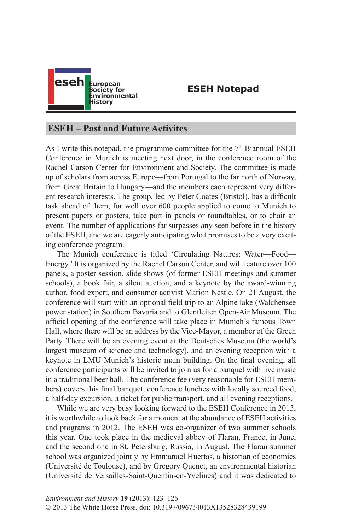

## **ESEH Notepad**

## **ESEH – Past and Future Activites**

As I write this notepad, the programme committee for the  $7<sup>th</sup>$  Biannual ESEH Conference in Munich is meeting next door, in the conference room of the Rachel Carson Center for Environment and Society. The committee is made up of scholars from across Europe—from Portugal to the far north of Norway, from Great Britain to Hungary—and the members each represent very different research interests. The group, led by Peter Coates (Bristol), has a difficult task ahead of them, for well over 600 people applied to come to Munich to present papers or posters, take part in panels or roundtables, or to chair an event. The number of applications far surpasses any seen before in the history of the ESEH, and we are eagerly anticipating what promises to be a very exciting conference program.

The Munich conference is titled 'Circulating Natures: Water—Food— Energy.' It is organized by the Rachel Carson Center, and will feature over 100 panels, a poster session, slide shows (of former ESEH meetings and summer schools), a book fair, a silent auction, and a keynote by the award-winning author, food expert, and consumer activist Marion Nestle. On 21 August, the conference will start with an optional field trip to an Alpine lake (Walchensee power station) in Southern Bavaria and to Glentleiten Open-Air Museum. The official opening of the conference will take place in Munich's famous Town Hall, where there will be an address by the Vice-Mayor, a member of the Green Party. There will be an evening event at the Deutsches Museum (the world's largest museum of science and technology), and an evening reception with a keynote in LMU Munich's historic main building. On the final evening, all conference participants will be invited to join us for a banquet with live music in a traditional beer hall. The conference fee (very reasonable for ESEH members) covers this final banquet, conference lunches with locally sourced food, a half-day excursion, a ticket for public transport, and all evening receptions.

While we are very busy looking forward to the ESEH Conference in 2013, it is worthwhile to look back for a moment at the abundance of ESEH activities and programs in 2012. The ESEH was co-organizer of two summer schools this year. One took place in the medieval abbey of Flaran, France, in June, and the second one in St. Petersburg, Russia, in August. The Flaran summer school was organized jointly by Emmanuel Huertas, a historian of economics (Université de Toulouse), and by Gregory Quenet, an environmental historian (Université de Versailles-Saint-Quentin-en-Yvelines) and it was dedicated to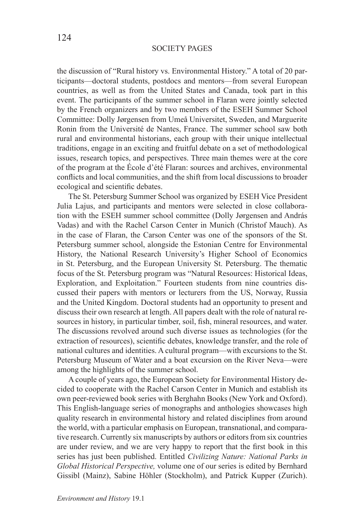## SOCIETY PAGES

the discussion of "Rural history vs. Environmental History." A total of 20 participants—doctoral students, postdocs and mentors—from several European countries, as well as from the United States and Canada, took part in this event. The participants of the summer school in Flaran were jointly selected by the French organizers and by two members of the ESEH Summer School Committee: Dolly Jørgensen from Umeå Universitet, Sweden, and Marguerite Ronin from the Université de Nantes, France. The summer school saw both rural and environmental historians, each group with their unique intellectual traditions, engage in an exciting and fruitful debate on a set of methodological issues, research topics, and perspectives. Three main themes were at the core of the program at the École d'été Flaran: sources and archives, environmental conflicts and local communities, and the shift from local discussions to broader ecological and scientific debates.

The St. Petersburg Summer School was organized by ESEH Vice President Julia Lajus, and participants and mentors were selected in close collaboration with the ESEH summer school committee (Dolly Jørgensen and András Vadas) and with the Rachel Carson Center in Munich (Christof Mauch). As in the case of Flaran, the Carson Center was one of the sponsors of the St. Petersburg summer school, alongside the Estonian Centre for Environmental History, the National Research University's Higher School of Economics in St. Petersburg, and the European University St. Petersburg. The thematic focus of the St. Petersburg program was "Natural Resources: Historical Ideas, Exploration, and Exploitation." Fourteen students from nine countries discussed their papers with mentors or lecturers from the US, Norway, Russia and the United Kingdom. Doctoral students had an opportunity to present and discuss their own research at length. All papers dealt with the role of natural resources in history, in particular timber, soil, fish, mineral resources, and water. The discussions revolved around such diverse issues as technologies (for the extraction of resources), scientific debates, knowledge transfer, and the role of national cultures and identities. A cultural program—with excursions to the St. Petersburg Museum of Water and a boat excursion on the River Neva—were among the highlights of the summer school.

A couple of years ago, the European Society for Environmental History decided to cooperate with the Rachel Carson Center in Munich and establish its own peer-reviewed book series with Berghahn Books (New York and Oxford). This English-language series of monographs and anthologies showcases high quality research in environmental history and related disciplines from around the world, with a particular emphasis on European, transnational, and comparative research. Currently six manuscripts by authors or editors from six countries are under review, and we are very happy to report that the first book in this series has just been published. Entitled *Civilizing Nature: National Parks in Global Historical Perspective,* volume one of our series is edited by Bernhard Gissibl (Mainz), Sabine Höhler (Stockholm), and Patrick Kupper (Zurich).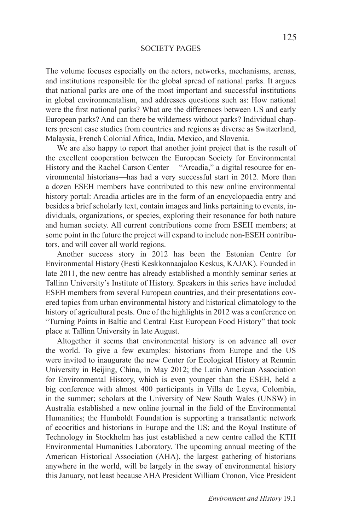## SOCIETY PAGES

The volume focuses especially on the actors, networks, mechanisms, arenas, and institutions responsible for the global spread of national parks. It argues that national parks are one of the most important and successful institutions in global environmentalism, and addresses questions such as: How national were the first national parks? What are the differences between US and early European parks? And can there be wilderness without parks? Individual chapters present case studies from countries and regions as diverse as Switzerland, Malaysia, French Colonial Africa, India, Mexico, and Slovenia.

We are also happy to report that another joint project that is the result of the excellent cooperation between the European Society for Environmental History and the Rachel Carson Center— "Arcadia," a digital resource for environmental historians—has had a very successful start in 2012. More than a dozen ESEH members have contributed to this new online environmental history portal: Arcadia articles are in the form of an encyclopaedia entry and besides a brief scholarly text, contain images and links pertaining to events, individuals, organizations, or species, exploring their resonance for both nature and human society. All current contributions come from ESEH members; at some point in the future the project will expand to include non-ESEH contributors, and will cover all world regions.

Another success story in 2012 has been the Estonian Centre for Environmental History (Eesti Keskkonnaajaloo Keskus, KAJAK). Founded in late 2011, the new centre has already established a monthly seminar series at Tallinn University's Institute of History. Speakers in this series have included ESEH members from several European countries, and their presentations covered topics from urban environmental history and historical climatology to the history of agricultural pests. One of the highlights in 2012 was a conference on "Turning Points in Baltic and Central East European Food History" that took place at Tallinn University in late August.

Altogether it seems that environmental history is on advance all over the world. To give a few examples: historians from Europe and the US were invited to inaugurate the new Center for Ecological History at Renmin University in Beijing, China, in May 2012; the Latin American Association for Environmental History, which is even younger than the ESEH, held a big conference with almost 400 participants in Villa de Leyva, Colombia, in the summer; scholars at the University of New South Wales (UNSW) in Australia established a new online journal in the field of the Environmental Humanities; the Humboldt Foundation is supporting a transatlantic network of ecocritics and historians in Europe and the US; and the Royal Institute of Technology in Stockholm has just established a new centre called the KTH Environmental Humanities Laboratory. The upcoming annual meeting of the American Historical Association (AHA), the largest gathering of historians anywhere in the world, will be largely in the sway of environmental history this January, not least because AHA President William Cronon, Vice President